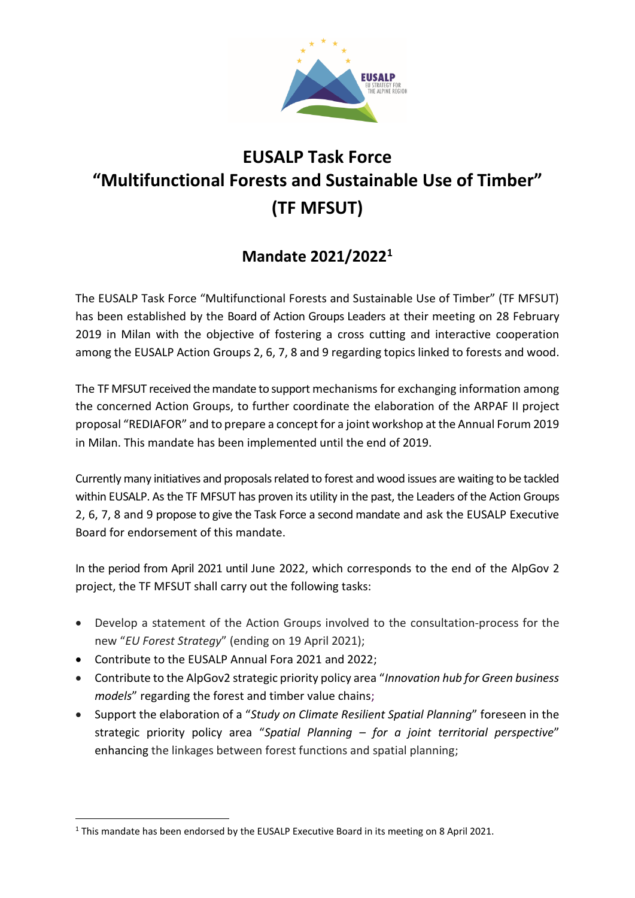

## **EUSALP Task Force "Multifunctional Forests and Sustainable Use of Timber" (TF MFSUT)**

## **Mandate 2021/2022<sup>1</sup>**

The EUSALP Task Force "Multifunctional Forests and Sustainable Use of Timber" (TF MFSUT) has been established by the Board of Action Groups Leaders at their meeting on 28 February 2019 in Milan with the objective of fostering a cross cutting and interactive cooperation among the EUSALP Action Groups 2, 6, 7, 8 and 9 regarding topics linked to forests and wood.

The TF MFSUT received the mandate to support mechanisms for exchanging information among the concerned Action Groups, to further coordinate the elaboration of the ARPAF II project proposal "REDIAFOR" and to prepare a concept for a joint workshop at the Annual Forum 2019 in Milan. This mandate has been implemented until the end of 2019.

Currently many initiatives and proposals related to forest and wood issues are waiting to be tackled within EUSALP. As the TF MFSUT has proven its utility in the past, the Leaders of the Action Groups 2, 6, 7, 8 and 9 propose to give the Task Force a second mandate and ask the EUSALP Executive Board for endorsement of this mandate.

In the period from April 2021 until June 2022, which corresponds to the end of the AlpGov 2 project, the TF MFSUT shall carry out the following tasks:

- Develop a statement of the Action Groups involved to the consultation-process for the new "*EU Forest Strategy*" (ending on 19 April 2021);
- Contribute to the EUSALP Annual Fora 2021 and 2022;
- Contribute to the AlpGov2 strategic priority policy area "*Innovation hub for Green business models*" regarding the forest and timber value chains;
- Support the elaboration of a "*Study on Climate Resilient Spatial Planning*" foreseen in the strategic priority policy area "*Spatial Planning – for a joint territorial perspective*" enhancing the linkages between forest functions and spatial planning;

<sup>&</sup>lt;sup>1</sup> This mandate has been endorsed by the EUSALP Executive Board in its meeting on 8 April 2021.